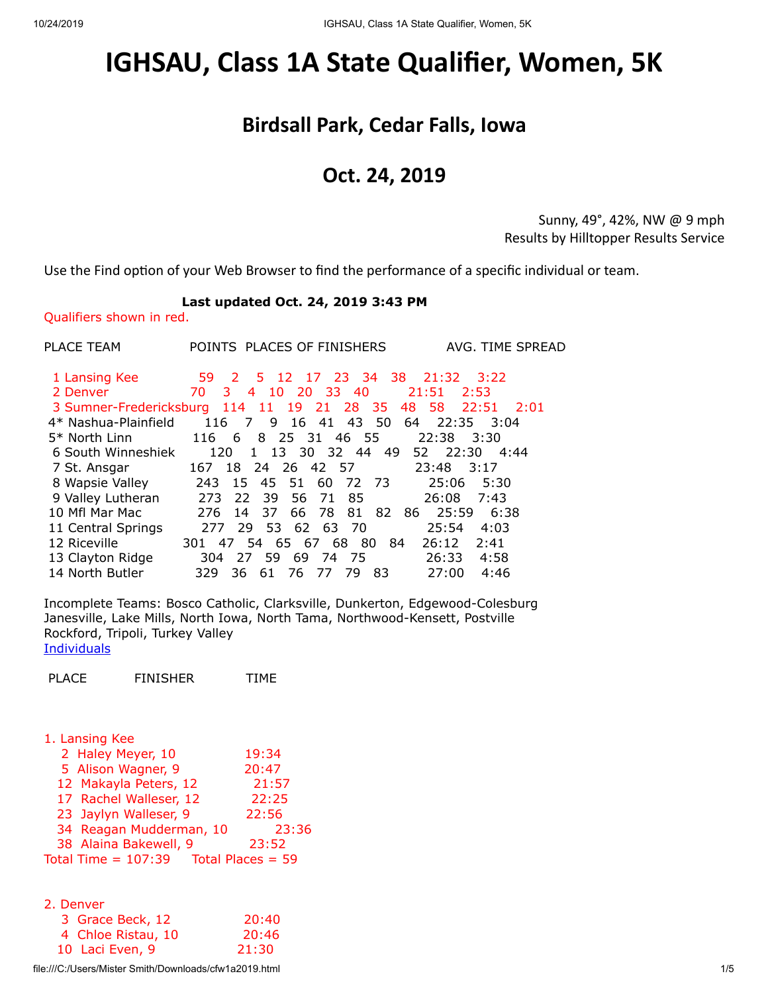## <span id="page-0-0"></span>**IGHSAU, Class 1A State Qualifier, Women, 5K**

## **Birdsall Park, Cedar Falls, Iowa**

## **Oct. 24, 2019**

Sunny, 49°, 42%, NW @ 9 mph Results by Hilltopper Results Service

Use the Find option of your Web Browser to find the performance of a specific individual or team.

## **Last updated Oct. 24, 2019 3:43 PM**

Qualifiers shown in red.

| PLACE TEAM           | POINTS PLACES OF FINISHERS<br>AVG. TIME SPREAD                    |
|----------------------|-------------------------------------------------------------------|
| 1 Lansing Kee        | 59 2 5 12 17 23 34 38<br>$21:32$ $3:22$                           |
| 2 Denver             | 3 4 10 20 33 40<br>70<br>21:51<br>2:53                            |
|                      | 3 Sumner-Fredericksburg 114 11 19 21 28 35<br>48 58 22:51<br>2:01 |
| 4* Nashua-Plainfield | 116 7 9 16 41 43 50<br>22:35 3:04<br>64                           |
| $5*$ North Linn      | 116 6 8 25 31 46 55<br>22:38<br>3:30                              |
| 6 South Winneshiek   | 120 1 13 30 32 44<br>49 52 22:30<br>4:44                          |
| 7 St. Ansgar         | 167 18 24 26 42 57<br>23:48 3:17                                  |
| 8 Wapsie Valley      | 60 72 73<br>45 51<br>25:06 5:30<br>243<br>15                      |
| 9 Valley Lutheran    | 273 22<br>-39<br>56 71<br>26:08<br>7:43<br>85                     |
| 10 Mfl Mar Mac       | 25:59<br>66 78 81<br>82<br>6:38<br>276<br>14 37<br>86 -           |
| 11 Central Springs   | 29 53 62 63 70<br>25:54<br>4:03<br>277                            |
| 12 Riceville         | 301 47 54 65 67 68 80 84<br>26:12<br>2:41                         |
| 13 Clayton Ridge     | 27 59 69 74 75<br>26:33<br>4:58<br>304                            |
| 14 North Butler      | 4:46<br>83<br>27:00<br>329<br>-76<br>79.<br>-36<br>- 61<br>77     |

Incomplete Teams: Bosco Catholic, Clarksville, Dunkerton, Edgewood-Colesburg Janesville, Lake Mills, North Iowa, North Tama, Northwood-Kensett, Postville Rockford, Tripoli, Turkey Valley **[Individuals](#page-2-0)** 

| PLACE | <b>FINISHER</b> | TIME |
|-------|-----------------|------|
|       |                 |      |

| 1. Lansing Kee          |                     |
|-------------------------|---------------------|
| 2 Haley Meyer, 10       | 19:34               |
| 5 Alison Wagner, 9      | 20:47               |
| 12 Makayla Peters, 12   | 21:57               |
| 17 Rachel Walleser, 12  | 22:25               |
| 23 Jaylyn Walleser, 9   | 22:56               |
| 34 Reagan Mudderman, 10 | 23:36               |
| 38 Alaina Bakewell, 9   | 23:52               |
| Total Time = $107:39$   | Total Places = $59$ |
|                         |                     |

| 2. Denver |  |  |
|-----------|--|--|
| 20:40     |  |  |
| 20:46     |  |  |
| 21:30     |  |  |
|           |  |  |

file:///C:/Users/Mister Smith/Downloads/cfw1a2019.html 1/5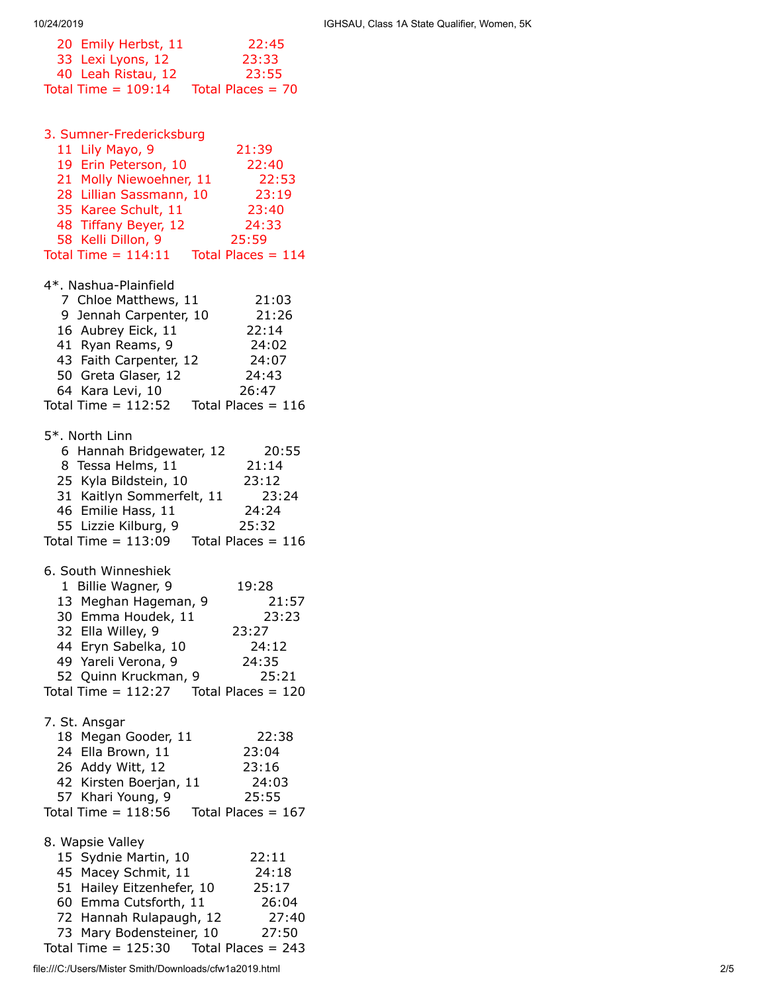| 20 Emily Herbst, 11   | 22:45               |
|-----------------------|---------------------|
| 33 Lexi Lyons, 12     | 23:33               |
| 40 Leah Ristau, 12    | 23:55               |
| Total Time = $109:14$ | Total Places $= 70$ |
|                       |                     |

3. Sumner-Fredericksburg

| 11 Lily Mayo, 9<br>19 Erin Peterson, 10<br>21 Molly Niewoehner, 11<br>28 Lillian Sassmann, 10<br>35 Karee Schult, 11<br>48 Tiffany Beyer, 12<br>58 Kelli Dillon, 9<br>Total Time = $114:11$                     | 21:39<br>22:40<br>22:53<br>23:19<br>23:40<br>24:33<br>25:59<br>Total Places = $114$ |
|-----------------------------------------------------------------------------------------------------------------------------------------------------------------------------------------------------------------|-------------------------------------------------------------------------------------|
| 4*. Nashua-Plainfield<br>7 Chloe Matthews, 11<br>9 Jennah Carpenter, 10<br>16 Aubrey Eick, 11<br>41 Ryan Reams, 9<br>43 Faith Carpenter, 12<br>50 Greta Glaser, 12<br>64 Kara Levi, 10<br>Total Time = $112:52$ | 21:03<br>21:26<br>22:14<br>24:02<br>24:07<br>24:43<br>26:47<br>Total Places = $116$ |
| 5*. North Linn<br>6 Hannah Bridgewater, 12<br>8 Tessa Helms, 11<br>25 Kyla Bildstein, 10<br>31 Kaitlyn Sommerfelt, 11<br>46 Emilie Hass, 11<br>55 Lizzie Kilburg, 9<br>Total Time = $113:09$                    | 20:55<br>21:14<br>23:12<br>23:24<br>24:24<br>25:32<br>Total Places = $116$          |
| 6. South Winneshiek<br>1 Billie Wagner, 9<br>13 Meghan Hageman, 9<br>30 Emma Houdek, 11<br>32 Ella Willey, 9<br>44 Eryn Sabelka, 10<br>49 Yareli Verona, 9<br>52 Quinn Kruckman, 9<br>Total Time = $112:27$     | 19:28<br>21:57<br>23:23<br>23:27<br>24:12<br>24:35<br>25:21<br>Total Places = $120$ |
| 7. St. Ansgar<br>18 Megan Gooder, 11<br>24 Ella Brown, 11<br>26 Addy Witt, 12<br>42 Kirsten Boerjan, 11<br>57 Khari Young, 9<br>Total Time = $118:56$                                                           | 22:38<br>23:04<br>23:16<br>24:03<br>25:55<br>Total Places = $167$                   |
| 8. Wapsie Valley<br>15 Sydnie Martin, 10<br>45 Macey Schmit, 11<br>51 Hailey Eitzenhefer, 10<br>60 Emma Cutsforth, 11<br>72 Hannah Rulapaugh, 12                                                                | 22:11<br>24:18<br>25:17<br>26:04<br>27:40                                           |

 73 Mary Bodensteiner, 10 27:50 Total Time = 125:30 Total Places = 243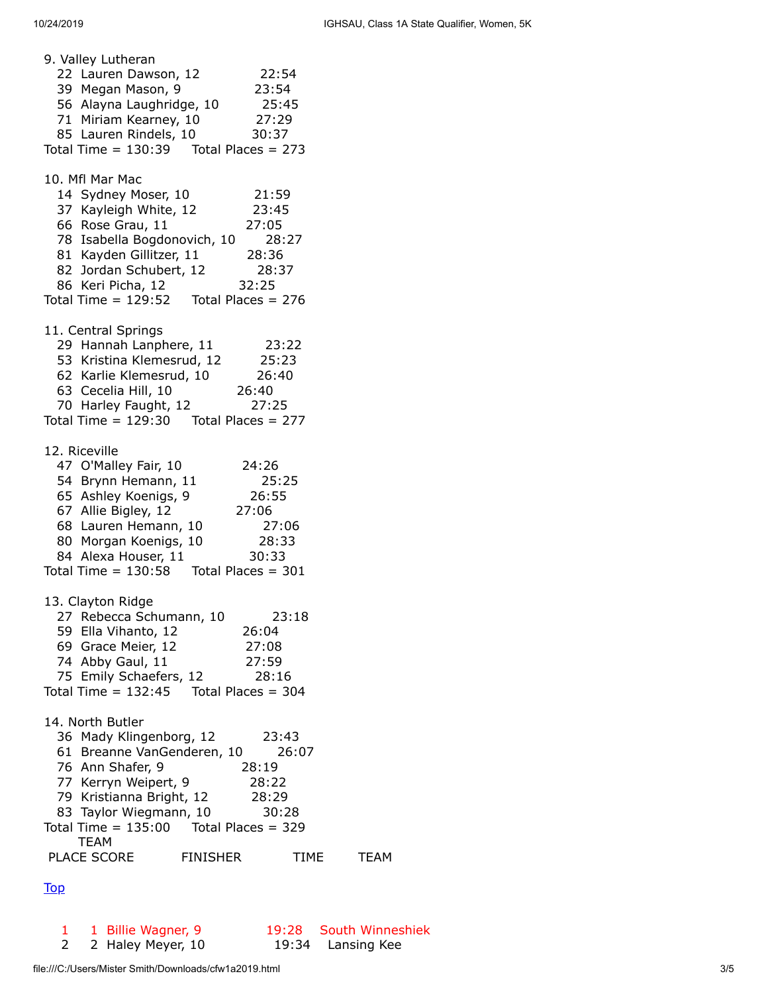| 9. Valley Lutheran<br>22 Lauren Dawson, 12<br>39 Megan Mason, 9<br>56 Alayna Laughridge, 10<br>71 Miriam Kearney, 10 27:29<br>85 Lauren Rindels, 10 30:37<br>Total Time = $130:39$ Total Places = 273                                                            | 22:54<br>23:54<br>25:45                   |              |
|------------------------------------------------------------------------------------------------------------------------------------------------------------------------------------------------------------------------------------------------------------------|-------------------------------------------|--------------|
| 10. Mfl Mar Mac<br>14 Sydney Moser, 10<br>37 Kayleigh White, 12<br>66 Rose Grau, 11<br>78 Isabella Bogdonovich, 10 28:27<br>81 Kayden Gillitzer, 11 28:36<br>82 Jordan Schubert, 12 28:37<br>86 Keri Picha, 12 32:25<br>Total Time = $129:52$ Total Places = 276 | 21:59<br>23:45<br>27:05                   |              |
| 11. Central Springs<br>29 Hannah Lanphere, 11<br>53 Kristina Klemesrud, 12<br>62 Karlie Klemesrud, 10<br>63 Cecelia Hill, 10<br>70 Harley Faught, 12<br>72:25<br>Total Time = $129:30$ Total Places = 277                                                        | 23:22                                     |              |
| 12. Riceville<br>47 O'Malley Fair, 10<br>54 Brynn Hemann, 11<br>65 Ashley Koenigs, 9<br>67 Allie Bigley, 12<br>68 Lauren Hemann, 10<br>80 Morgan Koenigs, 10 28:33<br>84 Alexa Houser, 11 30:33<br>Total Time = $130:58$ Total Places = $301$                    | 24:26<br>25:25<br>26:55<br>27:06<br>27:06 |              |
| 13. Clayton Ridge<br>27 Rebecca Schumann, 10<br>59 Ella Vihanto, 12<br>69 Grace Meier, 12<br>74 Abby Gaul, 11<br>75 Emily Schaefers, 12 28:16<br>Total Time = $132:45$ Total Places = $304$                                                                      | 26:04<br>27:08<br>27:59                   | 23:18        |
| 14. North Butler<br>36 Mady Klingenborg, 12<br>61 Breanne VanGenderen, 10<br>76 Ann Shafer, 9<br>77 Kerryn Weipert, 9<br>79 Kristianna Bright, 12<br>83 Taylor Wiegmann, 10 30:28<br>Total Time = $135:00$ Total Places = 329<br><b>TEAM</b>                     | 23:43<br>28:19<br>28:22<br>28:29          | 26:07        |
| PLACE SCORE FINISHER                                                                                                                                                                                                                                             |                                           | TIME<br>TEAM |

```
Top
```
1 1 Billie Wagner, 9 19:28 South Winneshiek<br>
2 2 Haley Meyer, 10 19:34 Lansing Kee 2 Haley Meyer, 10 19:34 Lansing Kee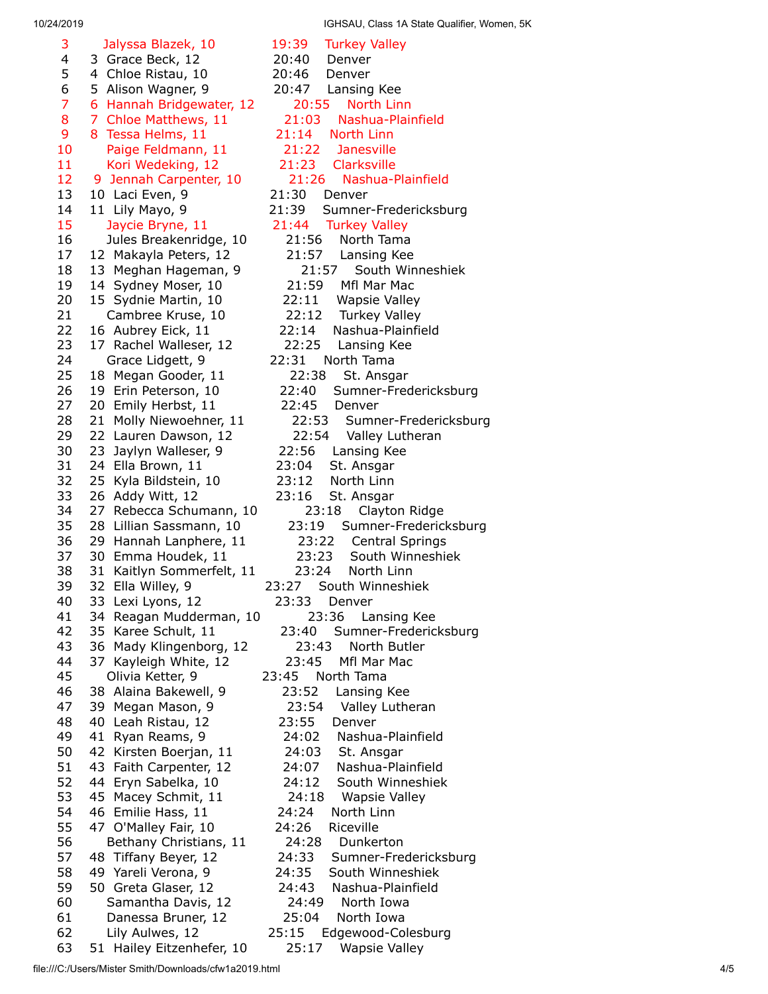10/24/2019 IGHSAU, Class 1A State Qualifier, Women, 5K

| 3  | Jalyssa Blazek, 10           | 19:39<br><b>Turkey Va</b>    |
|----|------------------------------|------------------------------|
| 4  | 3 Grace Beck, 12             | 20:40<br>Denver              |
| 5  | 4 Chloe Ristau, 10           | 20:46<br>Denver              |
| 6  | 5 Alison Wagner, 9           | Lansing k<br>20:47           |
| 7  | 6 Hannah Bridgewater, 12     | 20:55<br>North               |
| 8  | 7 Chloe Matthews, 11         | 21:03<br><b>Nashua</b>       |
| 9  | 8<br>Tessa Helms, 11         | 21:14<br>North Lin           |
| 10 | Paige Feldmann, 11           | 21:22<br>Janesvil            |
| 11 | Kori Wedeking, 12            | 21:23<br>Clarksvil           |
| 12 | 9 Jennah Carpenter, 10       | 21:26<br><b>Nashua</b>       |
| 13 | 10 Laci Even, 9              | 21:30<br>Denver              |
| 14 |                              | Sumner-F<br>21:39            |
| 15 | 11 Lily Mayo, 9              |                              |
|    | Jaycie Bryne, 11             | 21:44<br><b>Turkey Va</b>    |
| 16 | Jules Breakenridge, 10       | 21:56<br>North T             |
| 17 | 12 Makayla Peters, 12        | 21:57<br>Lansing             |
| 18 | 13 Meghan Hageman, 9         | 21:57<br>Sout                |
| 19 | 14 Sydney Moser, 10          | 21:59<br>Mfl Mar             |
| 20 | 15 Sydnie Martin, 10         | 22:11<br>Wapsie              |
| 21 | Cambree Kruse, 10            | 22:12<br>Turkey              |
| 22 | 16 Aubrey Eick, 11           | 22:14<br>Nashua-             |
| 23 | 17 Rachel Walleser, 12       | 22:25<br>Lansing             |
| 24 | Grace Lidgett, 9             | 22:31<br>North Tam           |
| 25 | 18 Megan Gooder, 11          | 22:38<br>St. Ans             |
| 26 | 19 Erin Peterson, 10         | 22:40<br>Sumner-             |
| 27 | 20 Emily Herbst, 11          | 22:45<br>Denver              |
| 28 | 21 Molly Niewoehner, 11      | 22:53<br>Sumne               |
| 29 | 22 Lauren Dawson, 12         | 22:54<br>Valley              |
| 30 | 23<br>Jaylyn Walleser, 9     | 22:56<br>Lansing             |
| 31 | 24 Ella Brown, 11            | 23:04<br>St. Ansga           |
| 32 | 25 Kyla Bildstein, 10        | 23:12<br>North Lir           |
| 33 | 26 Addy Witt, 12             | 23:16<br>St. Ansga           |
| 34 | 27 Rebecca Schumann, 10      | 23:18<br>Clay                |
|    |                              |                              |
| 35 | 28<br>Lillian Sassmann, 10   | 23:19<br>Sumne               |
| 36 | 29 Hannah Lanphere, 11       | 23:22<br>Centr               |
| 37 | 30 Emma Houdek, 11           | 23:23<br>South               |
| 38 | 31 Kaitlyn Sommerfelt, 11    | 23:24<br>North               |
| 39 | 32 Ella Willey, 9            | 23:27 South Win              |
| 40 | 33 Lexi Lyons, 12            | 23:33 Denver                 |
| 41 | 34 Reagan Mudderman, 10      | 23:36<br>Lan                 |
| 42 | 35 Karee Schult, 11          | 23:40<br>Sumner              |
| 43 | 36 Mady Klingenborg, 12      | 23:43<br>North               |
| 44 | 37 Kayleigh White, 12        | Mfl Mar<br>23:45             |
| 45 | Olivia Ketter, 9             | 23:45 North Tama             |
| 46 | 38 Alaina Bakewell, 9        | 23:52<br>Lansing             |
| 47 | 39 Megan Mason, 9            | 23:54<br>Valley I            |
| 48 | 40 Leah Ristau, 12           | 23:55<br>Denver              |
| 49 | 41 Ryan Reams, 9             | 24:02<br>Nashua              |
| 50 | 42 Kirsten Boerjan, 11       | St. Ans<br>24:03             |
| 51 | 43 Faith Carpenter, 12       | 24:07<br>Nashua              |
| 52 | 44 Eryn Sabelka, 10          | 24:12<br>South V             |
| 53 | 45 Macey Schmit, 11          | 24:18<br>Wapsie              |
| 54 |                              |                              |
|    | 46 Emilie Hass, 11           | 24:24<br>North Lir           |
| 55 | 47 O'Malley Fair, 10         | 24:26<br>Riceville           |
| 56 | Bethany Christians, 11       | 24:28<br>Dunker              |
| 57 | 48 Tiffany Beyer, 12         | 24:33<br>Sumner-             |
| 58 | 49 Yareli Verona, 9          | 24:35<br>South Wi            |
| 59 | 50 Greta Glaser, 12          | 24:43<br>Nashua-             |
| 60 | Samantha Davis, 12           | 24:49<br>North I             |
| 61 | Danessa Bruner, 12           | 25:04<br>North Io            |
| 62 | Lily Aulwes, 12              | 25:15<br>Edgewood            |
| 62 | $F1$ Hailey Fitzenhofor $10$ | つに・1つ<br>M <sub>2</sub> ncio |

39 Turkey Valley Denver 47 Lansing Kee 20:55 North Linn 1:03 Nashua-Plainfield 14 North Linn 1:22 Janesville :23 Clarksville 1:26 Nashua-Plainfield **9 Sumner-Fredericksburg** 44 Turkey Valley 1:56 North Tama 1:57 Lansing Kee 21:57 South Winneshiek 1:59 Mfl Mar Mac 2:11 Wapsie Valley 2:12 Turkey Valley :14 Nashua-Plainfield 2:25 Lansing Kee 31 North Tama 2:38 St. Ansgar :40 Sumner-Fredericksburg 22:53 Sumner-Fredericksburg 22:54 Valley Lutheran :56 Lansing Kee 04 St. Ansgar 12 North Linn 16 St. Ansgar 23:18 Clayton Ridge 3:19 Sumner-Fredericksburg 23:22 Central Springs 23:23 South Winneshiek 23:24 North Linn 7 South Winneshiek 23:36 Lansing Kee :40 Sumner-Fredericksburg 23:43 North Butler 3:45 Mfl Mar Mac 5 North Tama  $8:52$  Lansing Kee 3:54 Valley Lutheran Denver 4:02 Nashua-Plainfield 4:03 St. Ansgar 4:07 Nashua-Plainfield 4:12 South Winneshiek 4:18 Wapsie Valley 24 North Linn 26 Riceville 4:28 Dunkerton :33 Sumner-Fredericksburg 35 South Winneshiek :43 Nashua-Plainfield 4:49 North Iowa 5:04 North Iowa 5 Edgewood-Colesburg

63 51 Hailey Eitzenhefer, 10 25:17 Wapsie Valley